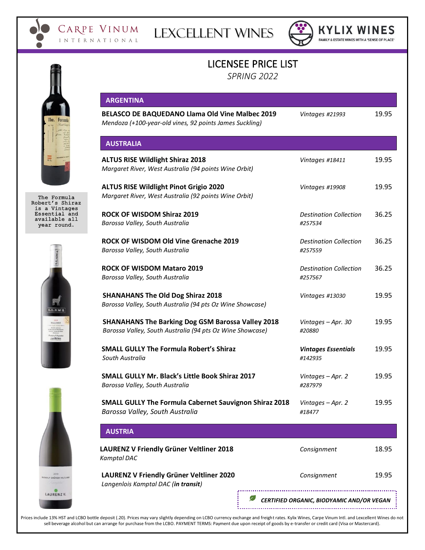

LEXCELLENT WINES



**KYLIX WINES** FAMILY & ESTATE WINES WITH A 'SENSE OF PLACE'

# LICENSEE PRICE LIST

*SPRING 2022*

|                                                 | <b>ARGENTINA</b>                                                                                                      |                                          |       |
|-------------------------------------------------|-----------------------------------------------------------------------------------------------------------------------|------------------------------------------|-------|
|                                                 | BELASCO DE BAQUEDANO Llama Old Vine Malbec 2019<br>Mendoza (+100-year-old vines, 92 points James Suckling)            | Vintages #21993                          | 19.95 |
|                                                 | <b>AUSTRALIA</b>                                                                                                      |                                          |       |
|                                                 | <b>ALTUS RISE Wildlight Shiraz 2018</b><br>Margaret River, West Australia (94 points Wine Orbit)                      | Vintages #18411                          | 19.95 |
|                                                 | <b>ALTUS RISE Wildlight Pinot Grigio 2020</b><br>Margaret River, West Australia (92 points Wine Orbit)                | Vintages #19908                          | 19.95 |
| The Formula<br>Robert's Shiraz<br>is a Vintages |                                                                                                                       |                                          |       |
| Essential and<br>available all<br>year round.   | <b>ROCK OF WISDOM Shiraz 2019</b><br>Barossa Valley, South Australia                                                  | <b>Destination Collection</b><br>#257534 | 36.25 |
|                                                 | ROCK OF WISDOM Old Vine Grenache 2019<br>Barossa Valley, South Australia                                              | <b>Destination Collection</b><br>#257559 | 36.25 |
|                                                 | <b>ROCK OF WISDOM Mataro 2019</b><br>Barossa Valley, South Australia                                                  | <b>Destination Collection</b><br>#257567 | 36.25 |
|                                                 | <b>SHANAHANS The Old Dog Shiraz 2018</b>                                                                              | Vintages #13030                          | 19.95 |
| LLAME                                           | Barossa Valley, South Australia (94 pts Oz Wine Showcase)<br><b>SHANAHANS The Barking Dog GSM Barossa Valley 2018</b> |                                          | 19.95 |
| MALBEC                                          | Barossa Valley, South Australia (94 pts Oz Wine Showcase)                                                             | Vintages - Apr. 30<br>#20880             |       |
|                                                 | <b>SMALL GULLY The Formula Robert's Shiraz</b><br>South Australia                                                     | <b>Vintages Essentials</b><br>#142935    | 19.95 |
|                                                 | <b>SMALL GULLY Mr. Black's Little Book Shiraz 2017</b><br>Barossa Valley, South Australia                             | Vintages - Apr. 2<br>#287979             | 19.95 |
|                                                 | <b>SMALL GULLY The Formula Cabernet Sauvignon Shiraz 2018</b><br>Barossa Valley, South Australia                      | Vintages - Apr. 2<br>#18477              | 19.95 |
|                                                 | <b>AUSTRIA</b>                                                                                                        |                                          |       |
|                                                 | LAURENZ V Friendly Grüner Veltliner 2018                                                                              | Consignment                              | 18.95 |

**LAURENZ V Friendly Grüner Veltliner 2020** *Langenlois Kamptal DAC (in transit)*

*Kamptal DAC*

| Consignment | 19.95 |
|-------------|-------|

 *CERTIFIED ORGANIC, BIODYAMIC AND/OR VEGAN*

Prices include 13% HST and LCBO bottle deposit (.20). Prices may vary slightly depending on LCBO currency exchange and freight rates. Kylix Wines, Carpe Vinum Intl. and Lexcellent Wines do not sell beverage alcohol but can arrange for purchase from the LCBO. PAYMENT TERMS: Payment due upon receipt of goods by e-transfer or credit card (Visa or Mastercard).







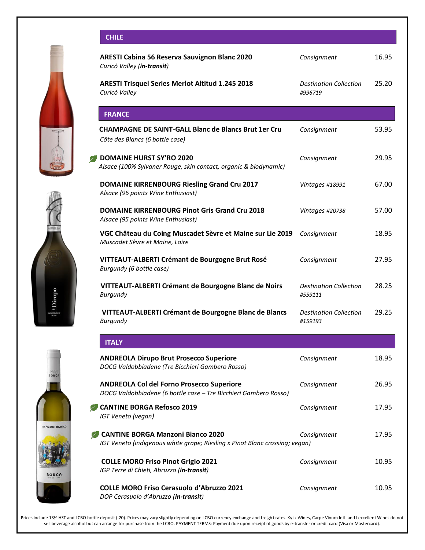



**MANZONI BIANCO** 



**COLLE MORO Friso Pinot Grigio 2021** *Consignment* 10.95 *IGP Terre di Chieti, Abruzzo (in-transit)* **COLLE MORO Friso Cerasuolo d'Abruzzo 2021** *Consignment* 10.95 *DOP Cerasuolo d'Abruzzo (in-transit)*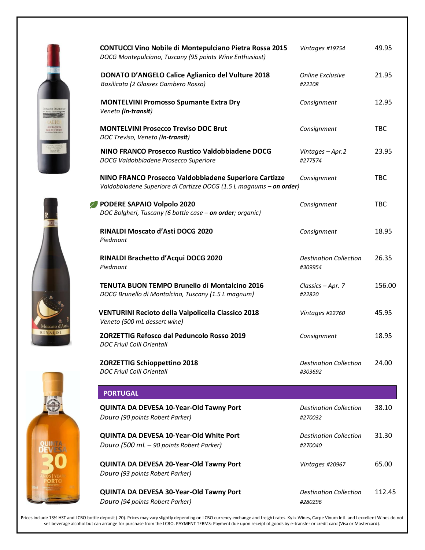|       | <b>CONTUCCI Vino Nobile di Montepulciano Pietra Rossa 2015</b><br>DOCG Montepulciano, Tuscany (95 points Wine Enthusiast)    | Vintages #19754                          | 49.95      |
|-------|------------------------------------------------------------------------------------------------------------------------------|------------------------------------------|------------|
|       | <b>DONATO D'ANGELO Calice Aglianico del Vulture 2018</b><br>Basilicata (2 Glasses Gambero Rosso)                             | <b>Online Exclusive</b><br>#22208        | 21.95      |
|       | <b>MONTELVINI Promosso Spumante Extra Dry</b><br>Veneto (in-transit)                                                         | Consignment                              | 12.95      |
| URTUR | <b>MONTELVINI Prosecco Treviso DOC Brut</b><br>DOC Treviso, Veneto (in-transit)                                              | Consignment                              | <b>TBC</b> |
|       | NINO FRANCO Prosecco Rustico Valdobbiadene DOCG<br>DOCG Valdobbiadene Prosecco Superiore                                     | Vintages - Apr.2<br>#277574              | 23.95      |
|       | NINO FRANCO Prosecco Valdobbiadene Superiore Cartizze<br>Valdobbiadene Superiore di Cartizze DOCG (1.5 L magnums - on order) | Consignment                              | <b>TBC</b> |
|       | PODERE SAPAIO Volpolo 2020<br>DOC Bolgheri, Tuscany (6 bottle case - on order; organic)                                      | Consignment                              | <b>TBC</b> |
|       | RINALDI Moscato d'Asti DOCG 2020<br>Piedmont                                                                                 | Consignment                              | 18.95      |
|       | RINALDI Brachetto d'Acqui DOCG 2020<br>Piedmont                                                                              | <b>Destination Collection</b><br>#309954 | 26.35      |
|       | <b>TENUTA BUON TEMPO Brunello di Montalcino 2016</b><br>DOCG Brunello di Montalcino, Tuscany (1.5 L magnum)                  | Classics - Apr. 7<br>#22820              | 156.00     |
|       | VENTURINI Recioto della Valpolicella Classico 2018<br>Veneto (500 mL dessert wine)                                           | Vintages #22760                          | 45.95      |
| ALDI  | <b>ZORZETTIG Refosco dal Peduncolo Rosso 2019</b><br>DOC Friuli Colli Orientali                                              | Consignment                              | 18.95      |
|       | <b>ZORZETTIG Schioppettino 2018</b><br>DOC Friuli Colli Orientali                                                            | <b>Destination Collection</b><br>#303692 | 24.00      |
|       | <b>PORTUGAL</b>                                                                                                              |                                          |            |
|       | QUINTA DA DEVESA 10-Year-Old Tawny Port<br>Douro (90 points Robert Parker)                                                   | <b>Destination Collection</b><br>#270032 | 38.10      |
|       | QUINTA DA DEVESA 10-Year-Old White Port<br>Douro (500 mL - 90 points Robert Parker)                                          | <b>Destination Collection</b><br>#270040 | 31.30      |
|       | QUINTA DA DEVESA 20-Year-Old Tawny Port<br>Douro (93 points Robert Parker)                                                   | Vintages #20967                          | 65.00      |
|       | QUINTA DA DEVESA 30-Year-Old Tawny Port<br>Douro (94 points Robert Parker)                                                   | <b>Destination Collection</b><br>#280296 | 112.45     |
|       |                                                                                                                              |                                          |            |





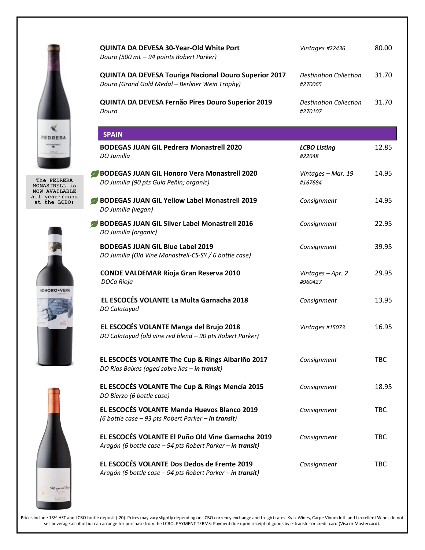

The PEDRERA MONASTRELL is NOW AVAILABLE all year-round at the LCBO!







| QUINTA DA DEVESA 30-Year-Old White Port<br>Douro (500 mL - 94 points Robert Parker)                             | Vintages #22436                          | 80.00      |
|-----------------------------------------------------------------------------------------------------------------|------------------------------------------|------------|
| <b>QUINTA DA DEVESA Touriga Nacional Douro Superior 2017</b><br>Douro (Grand Gold Medal - Berliner Wein Trophy) | <b>Destination Collection</b><br>#270065 | 31.70      |
| QUINTA DA DEVESA Fernão Pires Douro Superior 2019<br>Douro                                                      | <b>Destination Collection</b><br>#270107 | 31.70      |
| <b>SPAIN</b>                                                                                                    |                                          |            |
| <b>BODEGAS JUAN GIL Pedrera Monastrell 2020</b><br>DO Jumilla                                                   | <b>LCBO Listing</b><br>#22648            | 12.85      |
| <b>BODEGAS JUAN GIL Honoro Vera Monastrell 2020</b><br>DO Jumilla (90 pts Guia Peñin; organic)                  | Vintages - Mar. 19<br>#167684            | 14.95      |
| <b>BODEGAS JUAN GIL Yellow Label Monastrell 2019</b><br>DO Jumilla (vegan)                                      | Consignment                              | 14.95      |
| BODEGAS JUAN GIL Silver Label Monastrell 2016<br>DO Jumilla (organic)                                           | Consignment                              | 22.95      |
| <b>BODEGAS JUAN GIL Blue Label 2019</b><br>DO Jumilla (Old Vine Monastrell-CS-SY / 6 bottle case)               | Consignment                              | 39.95      |
| <b>CONDE VALDEMAR Rioja Gran Reserva 2010</b><br>DOCa Rioja                                                     | Vintages - Apr. 2<br>#960427             | 29.95      |
| EL ESCOCÉS VOLANTE La Multa Garnacha 2018<br>DO Calatayud                                                       | Consignment                              | 13.95      |
| EL ESCOCÉS VOLANTE Manga del Brujo 2018<br>DO Calatayud (old vine red blend - 90 pts Robert Parker)             | Vintages #15073                          | 16.95      |
| EL ESCOCÉS VOLANTE The Cup & Rings Albariño 2017<br>DO Rías Baixas (aged sobre lias - in transit)               | Consignment                              | TBC        |
| EL ESCOCÉS VOLANTE The Cup & Rings Mencía 2015<br>DO Bierzo (6 bottle case)                                     | Consignment                              | 18.95      |
| EL ESCOCÉS VOLANTE Manda Huevos Blanco 2019<br>(6 bottle case - 93 pts Robert Parker - in transit)              | Consignment                              | <b>TBC</b> |
| EL ESCOCÉS VOLANTE El Puño Old Vine Garnacha 2019<br>Aragón (6 bottle case - 94 pts Robert Parker - in transit) | Consignment                              | <b>TBC</b> |
| EL ESCOCÉS VOLANTE Dos Dedos de Frente 2019<br>Aragón (6 bottle case - 94 pts Robert Parker - in transit)       | Consignment                              | <b>TBC</b> |
|                                                                                                                 |                                          |            |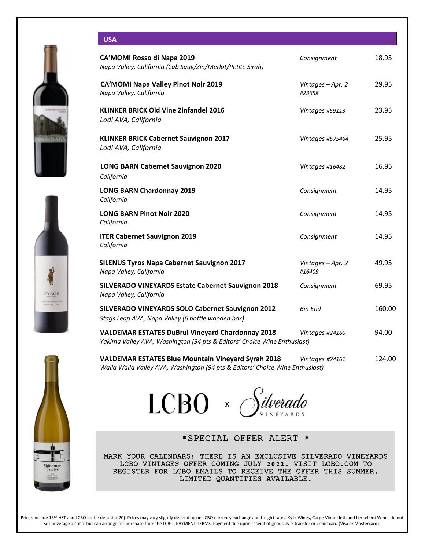







# **USA**

| CA'MOMI Rosso di Napa 2019<br>Napa Valley, California (Cab Sauv/Zin/Merlot/Petite Sirah)                                                   | Consignment                 | 18.95  |
|--------------------------------------------------------------------------------------------------------------------------------------------|-----------------------------|--------|
| <b>CA'MOMI Napa Valley Pinot Noir 2019</b><br>Napa Valley, California                                                                      | Vintages - Apr. 2<br>#23658 | 29.95  |
| <b>KLINKER BRICK Old Vine Zinfandel 2016</b><br>Lodi AVA, California                                                                       | Vintages #59113             | 23.95  |
| <b>KLINKER BRICK Cabernet Sauvignon 2017</b><br>Lodi AVA, California                                                                       | Vintages #575464            | 25.95  |
| <b>LONG BARN Cabernet Sauvignon 2020</b><br>California                                                                                     | Vintages #16482             | 16.95  |
| <b>LONG BARN Chardonnay 2019</b><br>California                                                                                             | Consignment                 | 14.95  |
| <b>LONG BARN Pinot Noir 2020</b><br>California                                                                                             | Consignment                 | 14.95  |
| <b>ITER Cabernet Sauvignon 2019</b><br>California                                                                                          | Consignment                 | 14.95  |
| <b>SILENUS Tyros Napa Cabernet Sauvignon 2017</b><br>Napa Valley, California                                                               | Vintages - Apr. 2<br>#16409 | 49.95  |
| <b>SILVERADO VINEYARDS Estate Cabernet Sauvignon 2018</b><br>Napa Valley, California                                                       | Consignment                 | 69.95  |
| SILVERADO VINEYARDS SOLO Cabernet Sauvignon 2012<br>Stags Leap AVA, Napa Valley (6 bottle wooden box)                                      | <b>Bin End</b>              | 160.00 |
| <b>VALDEMAR ESTATES DuBrul Vineyard Chardonnay 2018</b><br>Yakima Valley AVA, Washington (94 pts & Editors' Choice Wine Enthusiast)        | Vintages #24160             | 94.00  |
| <b>VALDEMAR ESTATES Blue Mountain Vineyard Syrah 2018</b><br>Walla Walla Valley AVA, Washington (94 pts & Editors' Choice Wine Enthusiast) | Vintages #24161             | 124.00 |

 $LCBO \times S$ ilverado

\*SPECIAL OFFER ALERT \*

MARK YOUR CALENDARS! THERE IS AN EXCLUSIVE SILVERADO VINEYARDS LCBO VINTAGES OFFER COMING JULY 2022. VISIT LCBO.COM TO REGISTER FOR LCBO EMAILS TO RECEIVE THE OFFER THIS SUMMER. LIMITED QUANTITIES AVAILABLE.